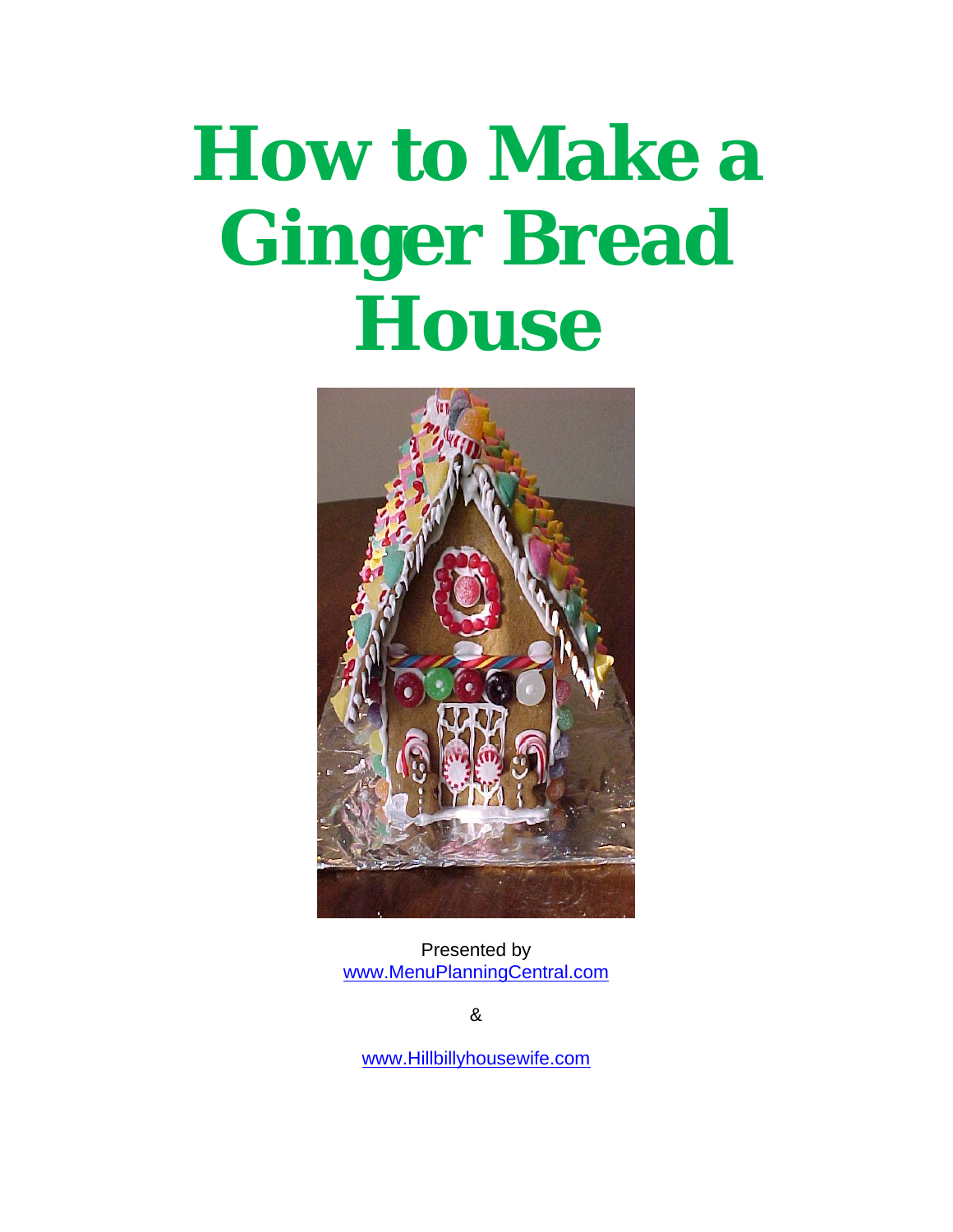# **How to Make a Ginger Bread House**



Presented by [www.MenuPlanningCentral.com](http://www.menuplanningcentral.com/order/go.php?r=1349/) 

&

www.Hillbillyhousewife.com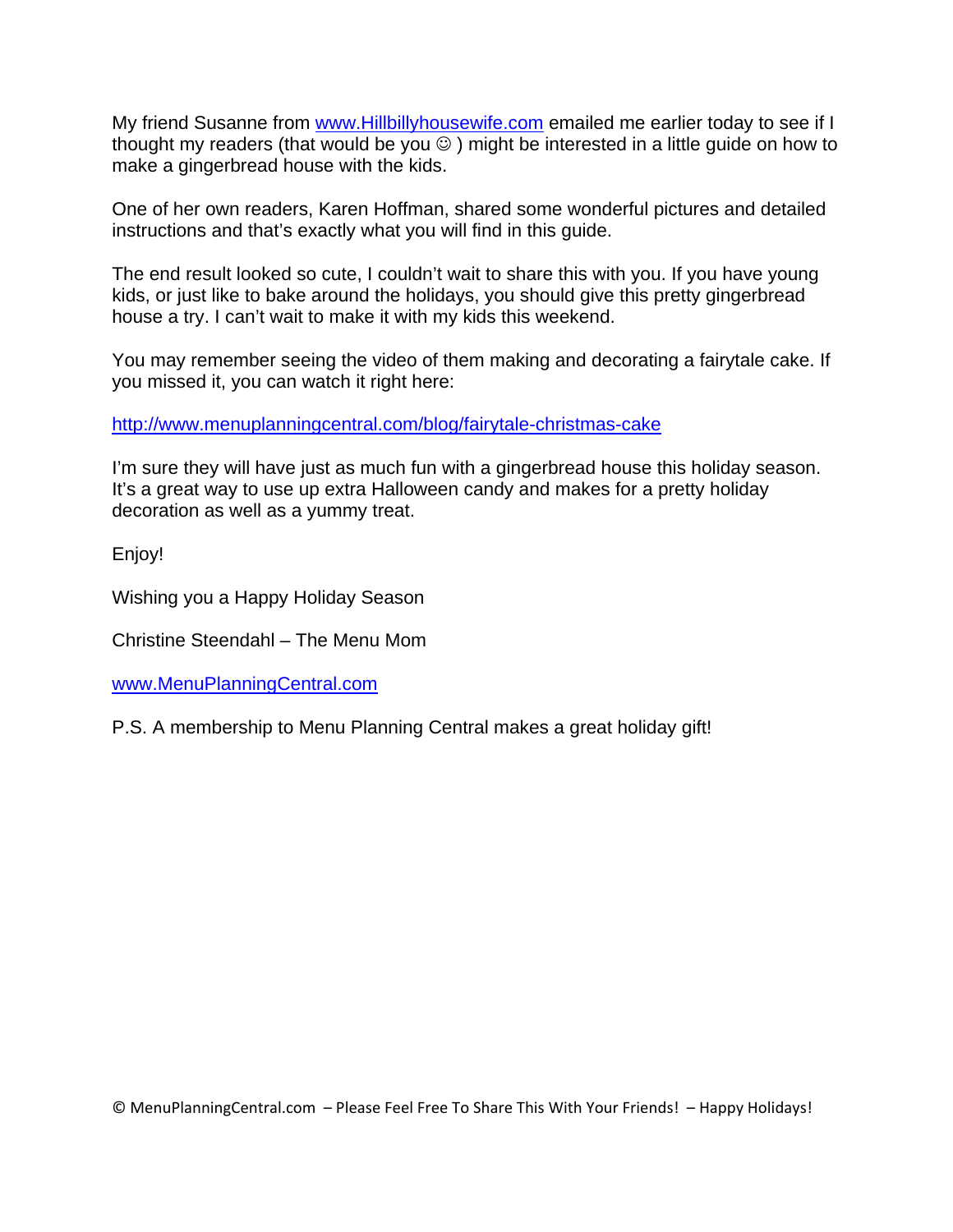My friend Susanne from www.Hillbillyhousewife.com emailed me earlier today to see if I thought my readers (that would be you  $\circledcirc$  ) might be interested in a little guide on how to make a gingerbread house with the kids.

One of her own readers, Karen Hoffman, shared some wonderful pictures and detailed instructions and that's exactly what you will find in this guide.

The end result looked so cute, I couldn't wait to share this with you. If you have young kids, or just like to bake around the holidays, you should give this pretty gingerbread house a try. I can't wait to make it with my kids this weekend.

You may remember seeing the video of them making and decorating a fairytale cake. If you missed it, you can watch it right here:

http://www.menuplanningcentral.com/blog/fairytale-christmas-cake

I'm sure they will have just as much fun with a gingerbread house this holiday season. It's a great way to use up extra Halloween candy and makes for a pretty holiday decoration as well as a yummy treat.

Enjoy!

Wishing you a Happy Holiday Season

Christine Steendahl – The Menu Mom

[www.MenuPlanningCentral.com](http://www.menuplanningcentral.com/order/go.php?r=1349/) 

P.S. A membership to Menu Planning Central makes a great holiday gift!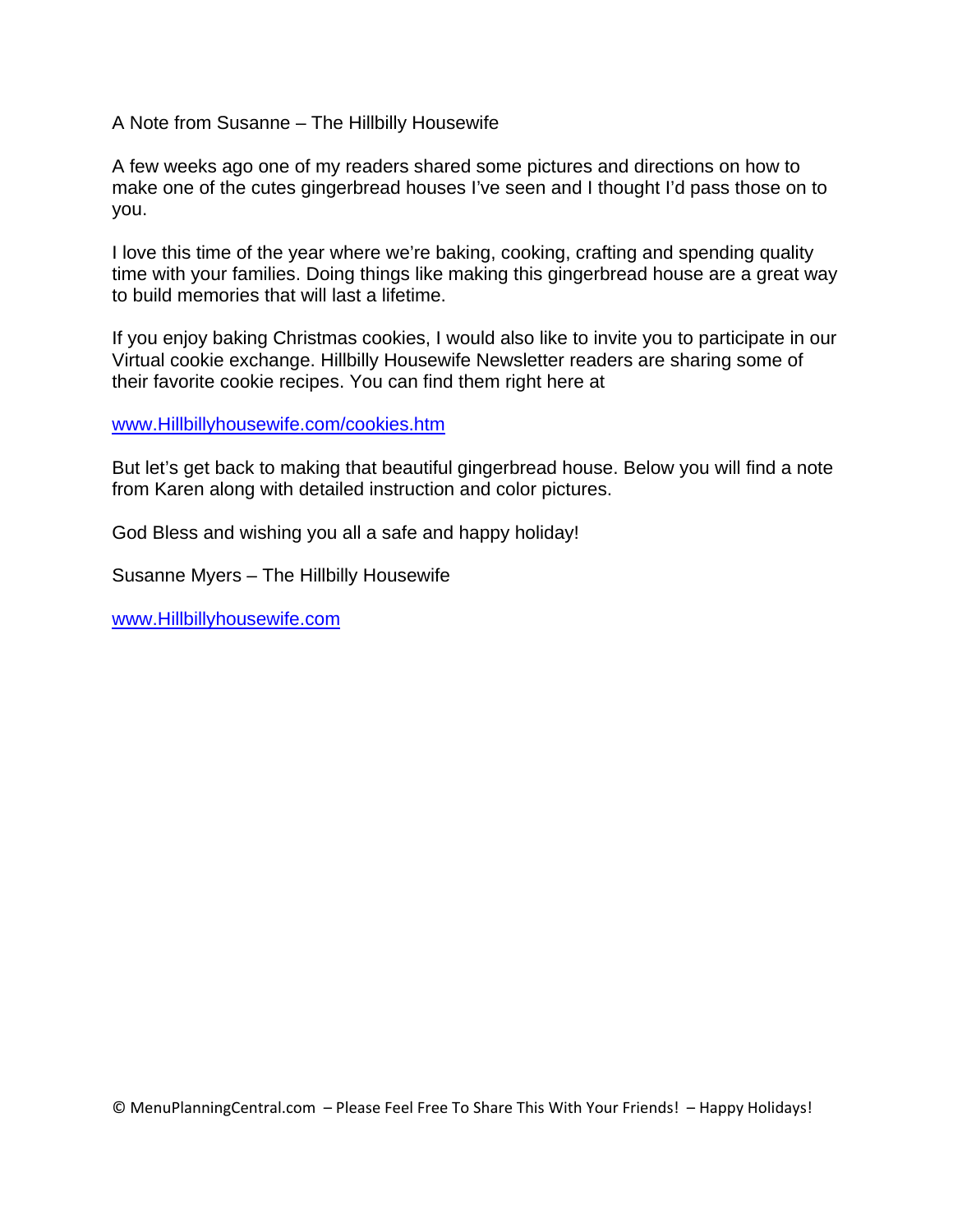A Note from Susanne – The Hillbilly Housewife

A few weeks ago one of my readers shared some pictures and directions on how to make one of the cutes gingerbread houses I've seen and I thought I'd pass those on to you.

I love this time of the year where we're baking, cooking, crafting and spending quality time with your families. Doing things like making this gingerbread house are a great way to build memories that will last a lifetime.

If you enjoy baking Christmas cookies, I would also like to invite you to participate in our Virtual cookie exchange. Hillbilly Housewife Newsletter readers are sharing some of their favorite cookie recipes. You can find them right here at

www.Hillbillyhousewife.com/cookies.htm

But let's get back to making that beautiful gingerbread house. Below you will find a note from Karen along with detailed instruction and color pictures.

God Bless and wishing you all a safe and happy holiday!

Susanne Myers – The Hillbilly Housewife

www.Hillbillyhousewife.com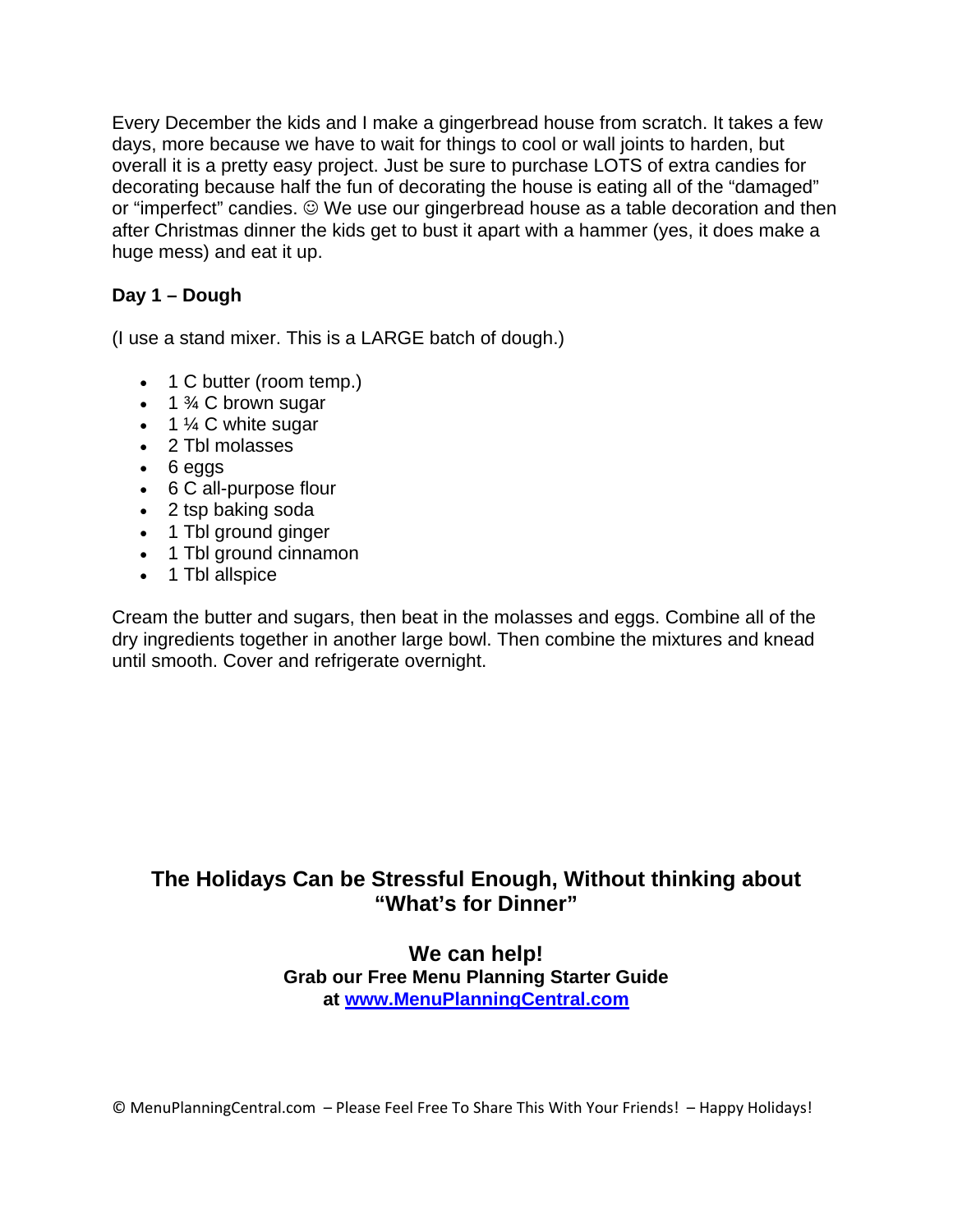Every December the kids and I make a gingerbread house from scratch. It takes a few days, more because we have to wait for things to cool or wall joints to harden, but overall it is a pretty easy project. Just be sure to purchase LOTS of extra candies for decorating because half the fun of decorating the house is eating all of the "damaged" or "imperfect" candies.  $\odot$  We use our gingerbread house as a table decoration and then after Christmas dinner the kids get to bust it apart with a hammer (yes, it does make a huge mess) and eat it up.

### **Day 1 – Dough**

(I use a stand mixer. This is a LARGE batch of dough.)

- 1 C butter (room temp.)
- $\bullet$  1  $\frac{3}{4}$  C brown sugar
- $\bullet$  1  $\frac{1}{4}$  C white sugar
- 2 Tbl molasses
- 6 eggs
- 6 C all-purpose flour
- 2 tsp baking soda
- 1 Tbl ground ginger
- 1 Tbl ground cinnamon
- 1 Tbl allspice

Cream the butter and sugars, then beat in the molasses and eggs. Combine all of the dry ingredients together in another large bowl. Then combine the mixtures and knead until smooth. Cover and refrigerate overnight.

## **The Holidays Can be Stressful Enough, Without thinking about "What's for Dinner"**

**We can help! Grab our Free Menu Planning Starter Guide at [www.MenuPlanningCentral.com](http://www.menuplanningcentral.com/order/go.php?r=1349/)**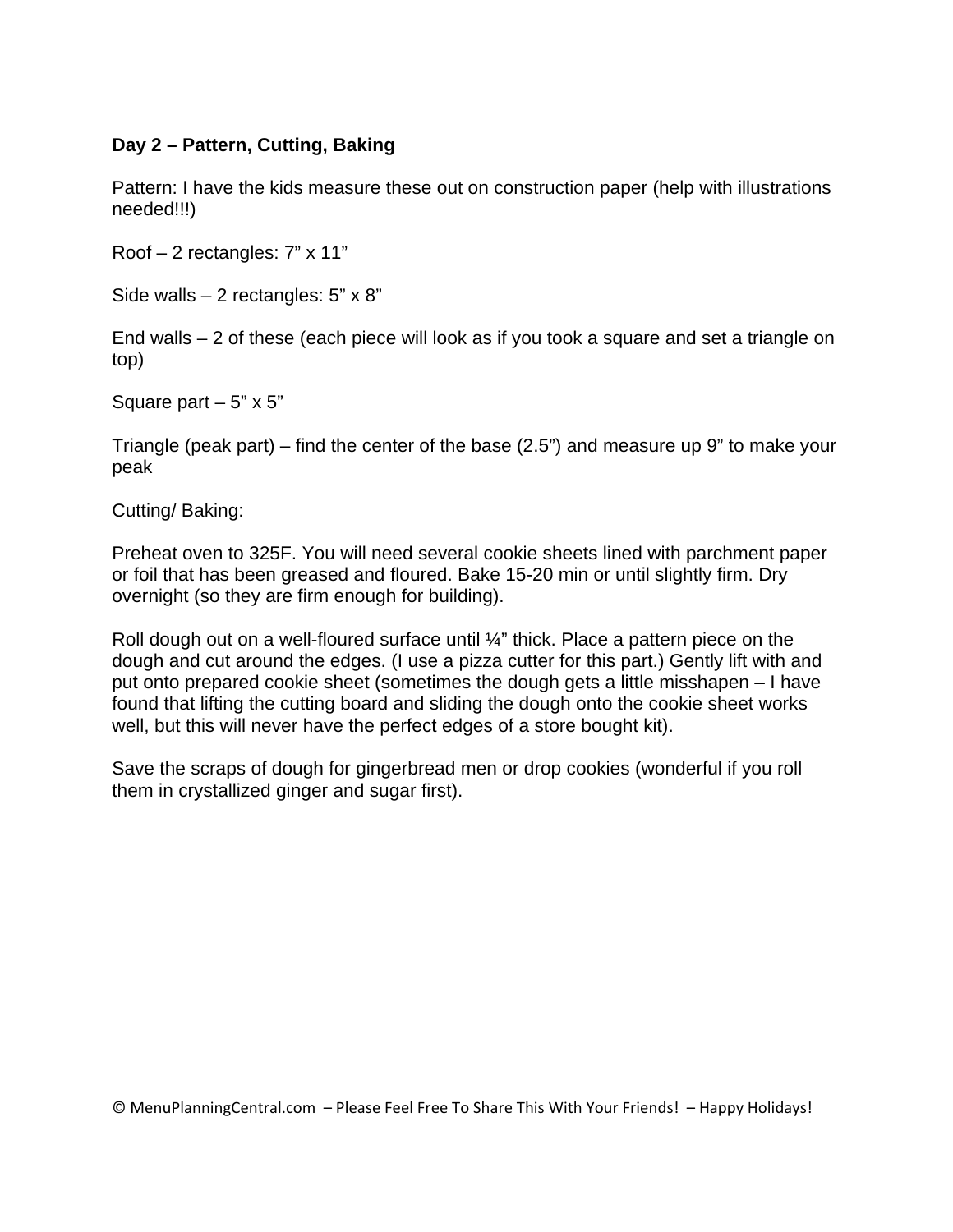#### **Day 2 – Pattern, Cutting, Baking**

Pattern: I have the kids measure these out on construction paper (help with illustrations needed!!!)

Roof – 2 rectangles: 7" x 11"

Side walls  $-2$  rectangles: 5" x 8"

End walls – 2 of these (each piece will look as if you took a square and set a triangle on top)

Square part  $-5$ " x  $5$ "

Triangle (peak part) – find the center of the base (2.5") and measure up 9" to make your peak

Cutting/ Baking:

Preheat oven to 325F. You will need several cookie sheets lined with parchment paper or foil that has been greased and floured. Bake 15-20 min or until slightly firm. Dry overnight (so they are firm enough for building).

Roll dough out on a well-floured surface until  $\frac{1}{4}$ " thick. Place a pattern piece on the dough and cut around the edges. (I use a pizza cutter for this part.) Gently lift with and put onto prepared cookie sheet (sometimes the dough gets a little misshapen – I have found that lifting the cutting board and sliding the dough onto the cookie sheet works well, but this will never have the perfect edges of a store bought kit).

Save the scraps of dough for gingerbread men or drop cookies (wonderful if you roll them in crystallized ginger and sugar first).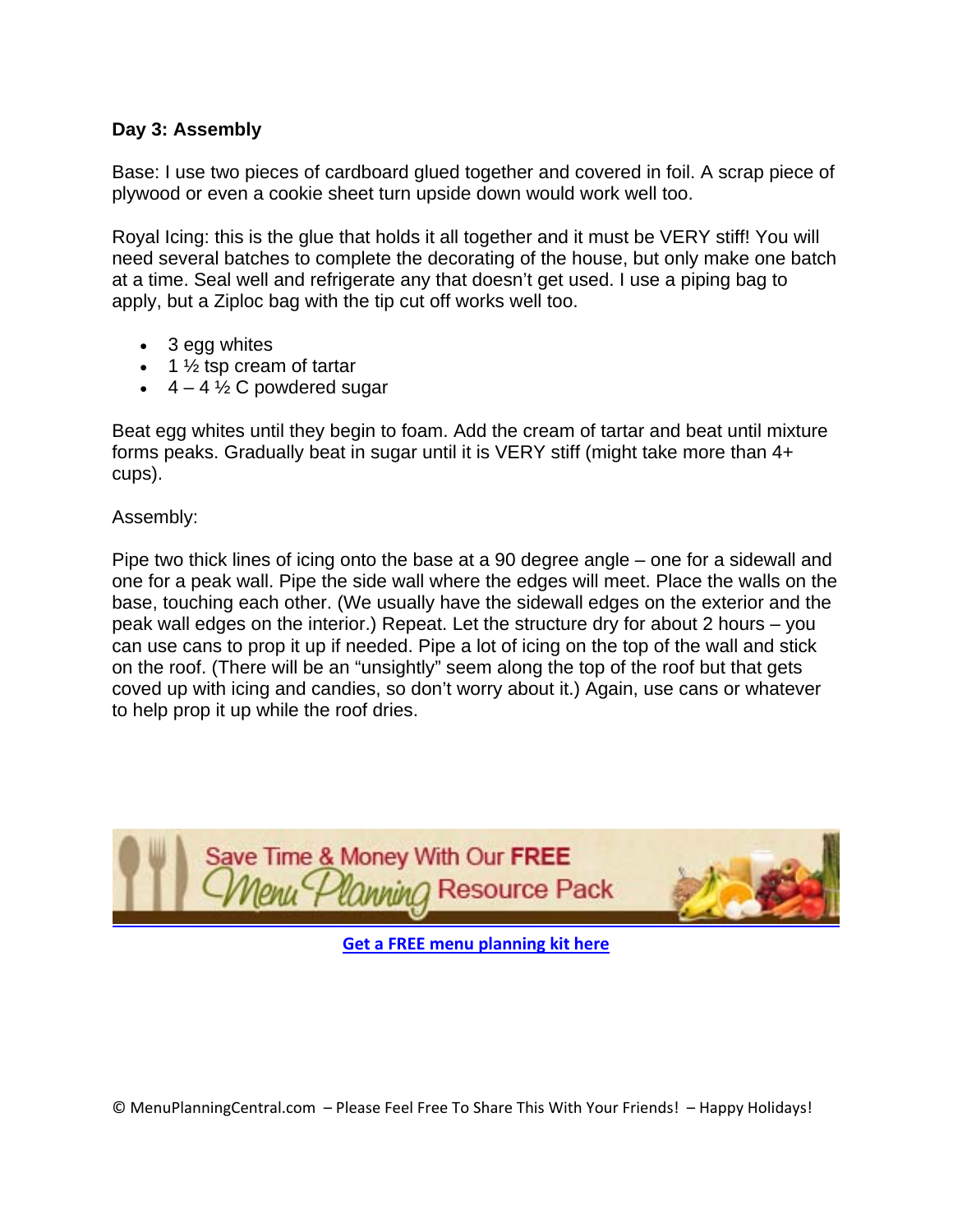#### **Day 3: Assembly**

Base: I use two pieces of cardboard glued together and covered in foil. A scrap piece of plywood or even a cookie sheet turn upside down would work well too.

Royal Icing: this is the glue that holds it all together and it must be VERY stiff! You will need several batches to complete the decorating of the house, but only make one batch at a time. Seal well and refrigerate any that doesn't get used. I use a piping bag to apply, but a Ziploc bag with the tip cut off works well too.

- 3 egg whites
- $\bullet$  1  $\frac{1}{2}$  tsp cream of tartar
- $\cdot$  4 4  $\frac{1}{2}$  C powdered sugar

Beat egg whites until they begin to foam. Add the cream of tartar and beat until mixture forms peaks. Gradually beat in sugar until it is VERY stiff (might take more than 4+ cups).

Assembly:

Pipe two thick lines of icing onto the base at a 90 degree angle – one for a sidewall and one for a peak wall. Pipe the side wall where the edges will meet. Place the walls on the base, touching each other. (We usually have the sidewall edges on the exterior and the peak wall edges on the interior.) Repeat. Let the structure dry for about 2 hours – you can use cans to prop it up if needed. Pipe a lot of icing on the top of the wall and stick on the roof. (There will be an "unsightly" seem along the top of the roof but that gets coved up with icing and candies, so don't worry about it.) Again, use cans or whatever to help prop it up while the roof dries.



**Get a FREE menu [planning](http://www.menuplanningcentral.com/order/go.php?r=1349/) kit here**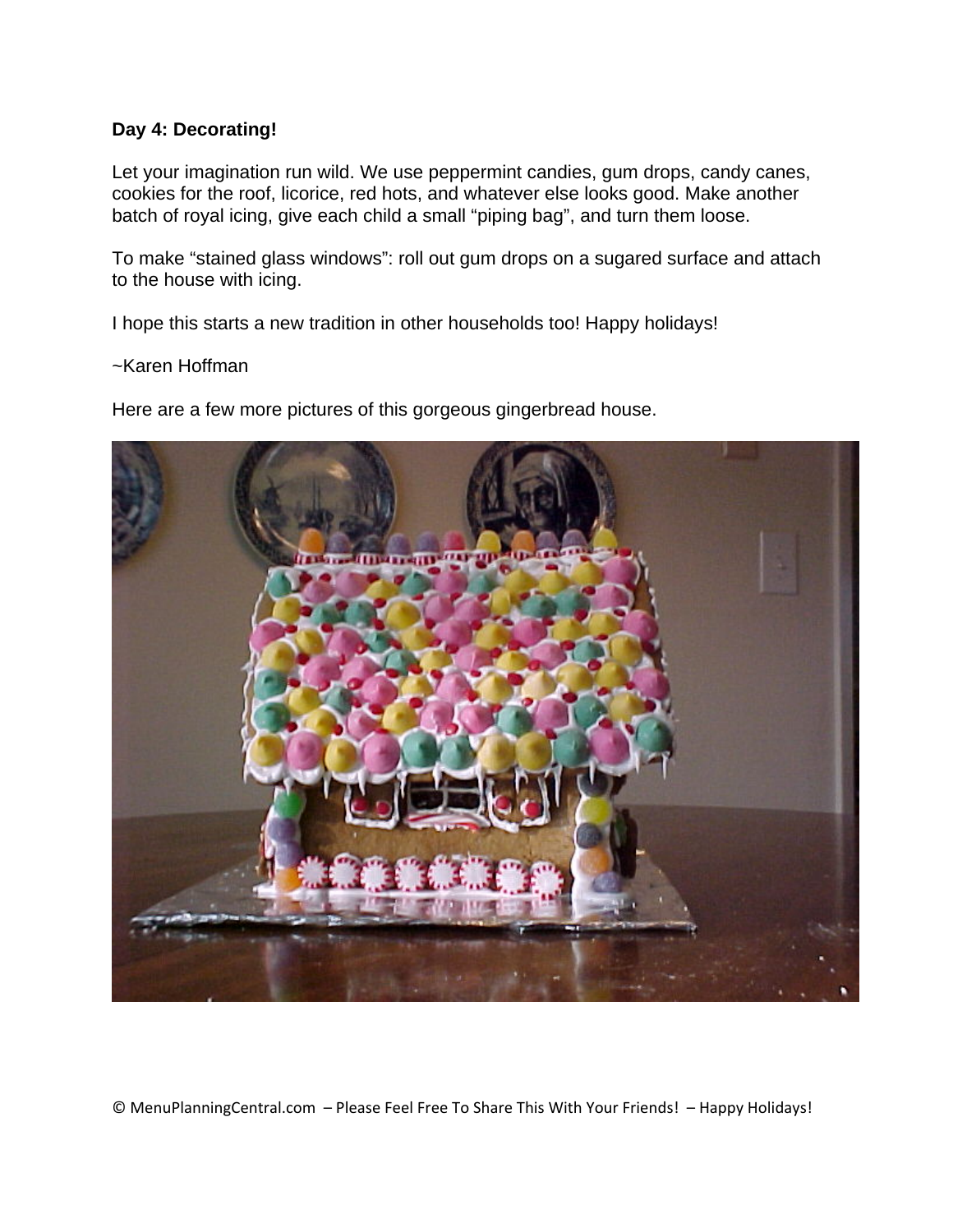#### **Day 4: Decorating!**

Let your imagination run wild. We use peppermint candies, gum drops, candy canes, cookies for the roof, licorice, red hots, and whatever else looks good. Make another batch of royal icing, give each child a small "piping bag", and turn them loose.

To make "stained glass windows": roll out gum drops on a sugared surface and attach to the house with icing.

I hope this starts a new tradition in other households too! Happy holidays!

#### ~Karen Hoffman

Here are a few more pictures of this gorgeous gingerbread house.